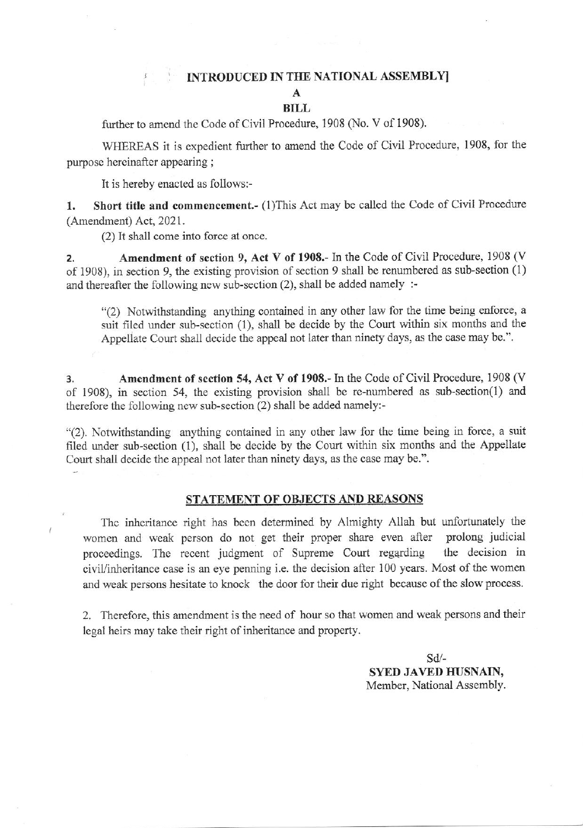# **INTRODUCED IN THE NATIONAL ASSEMBLY**

## A

### BILL

further to amend the Code of Civil Procedure, 1908 (No. V of 1908).

WHEREAS it is expedient further to amend the Code of Civil Procedure, 1908, for the purpose hereinafter appearing ;

It is hereby enacted as foilows:-

 $\overline{\mathcal{L}}$ 

1. Short title and commencement.- (1)This Act may be called the Code of Civil Procedure (Amendment) Act, 2021.

 $(2)$  It shall come into force at once.

2. Amendment of section 9, Act V of 1908.- In the Code of Civil Procedure, 1908 (V of 1908), in section 9, the existing provision of section 9 shall be renumbered as sub-section (1) and thereafter the following new sub-section (2), shall be added namely :-

"(2) Notwithstanding anything contained in any other law for the time being enforce, a suit filed under sub-section (1), shall be decide by the Court within six months and the Appellate Court shall decide the appeal not later thar ninety days, as the case may be.".

3. Amendment of section 54, Act V of 1908.- In the Code of Civil Procedure, 1908 (V of 1908), in section 54, the existing provision shall be re-numbered as sub-section(1) and therefore the following new sub-section (2) shall be added namely:-

"(2). Notwithstanding anything contained in any other law for the time being in force, a suit filed under sub-section (1), shall be decide by the Court within six months and the Appellate Court shall decide the appeal not later than ninety days, as the case may be.".

### STATEMENT OF OBJECTS AND REASONS

The inheritance right has been determined by Almighty Allah but unfortunately the women and weak person do not get their proper share even after prolong judicial proceedings. The recent judgment of Supreme Court regarding the decision in civil/inheritance case is an eye penning i.e. the decision after 100 years. Most of the women and weak persons hesitate to knock the door for their due right because of the slow process.

2. Therefore, this amendment is the need of hour so that women and weak persons and their legal heirs may take their right of inheritance and property.

> sd-SYED JAVED HUSNAIN. Member, National Assembly.